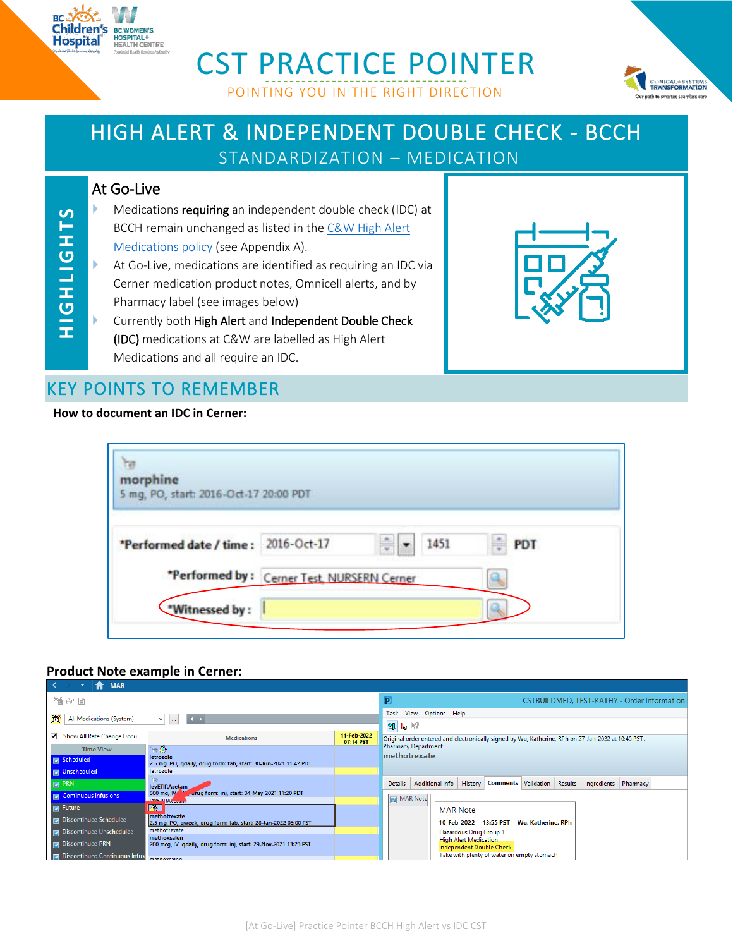

# CST PRACTICE POINTER



# HIGH ALERT & INDEPENDENT DOUBLE CHECK - BCCH

STANDARDIZATION – MEDICATION

### At Go-Live

**HIGHLIGHTS** 

- Medications requiring an independent double check (IDC) at BCCH remain unchanged as listed in the C&W High Alert [Medications policy](http://shop.healthcarebc.ca/phsa/BCWH_2/Pharmacy,%20Therapeutics%20and%20Nutrition/C-0506-11-62514.pdf) (see Appendix A).
- **H IG H LIGH TS** At Go-Live, medications are identified as requiring an IDC via Cerner medication product notes, Omnicell alerts, and by Pharmacy label (see images below)
	- Currently both High Alert and Independent Double Check (IDC) medications at C&W are labelled as High Alert Medications and all require an IDC.



CLINICAL+SYSTEMS Dur path to smarter, seamless care

## KEY POINTS TO REMEMBER

#### **How to document an IDC in Cerner:**

| morphine<br>5 mg, PO, start: 2016-Oct-17 20:00 PDT |           |          |  |
|----------------------------------------------------|-----------|----------|--|
| *Performed date / time: 2016-Oct-17                | ÷<br>1451 | ÷<br>PDT |  |
| *Performed by: Cerner Test, NURSERN Cerner         |           | ä        |  |
| *Witnessed by:                                     |           |          |  |

#### **Product Note example in Cerner:**

|                       | <b>MAR</b><br>$\blacktriangledown$<br>A |                                                                                    |                          |                                                                                                     |                                                          |                                            |         |             |                                             |
|-----------------------|-----------------------------------------|------------------------------------------------------------------------------------|--------------------------|-----------------------------------------------------------------------------------------------------|----------------------------------------------------------|--------------------------------------------|---------|-------------|---------------------------------------------|
| 暂命目                   |                                         |                                                                                    |                          | P                                                                                                   |                                                          |                                            |         |             | CSTBUILDMED, TEST-KATHY - Order Information |
| m                     | All Medications (System)                | $\begin{array}{c} \hline \end{array}$<br>M.<br>$\sim$                              |                          | Task View<br>Options Help<br>细!®                                                                    |                                                          |                                            |         |             |                                             |
|                       | Show All Rate Change Docu               | <b>Medications</b>                                                                 | 11-Feb-2022<br>07:14 PST | Original order entered and electronically signed by Wu, Katherine, RPh on 27-Jan-2022 at 10:45 PST. |                                                          |                                            |         |             |                                             |
|                       | <b>Time View</b>                        | もの                                                                                 |                          | <b>Pharmacy Department</b>                                                                          |                                                          |                                            |         |             |                                             |
| <b>TEA</b> Scheduled  |                                         | letrozole<br>2.5 mg, PO, gdaily, drug form: tab, start: 30-Jun-2021 11:42 PDT      |                          | methotrexate                                                                                        |                                                          |                                            |         |             |                                             |
| <b>ID</b> Unscheduled |                                         | letrozole                                                                          |                          |                                                                                                     |                                                          |                                            |         |             |                                             |
| $\nabla$ PRN          |                                         | <b>levETIRAcetam</b>                                                               |                          | <b>Additional Info</b><br><b>Details</b>                                                            | History                                                  | <b>Comments Validation</b>                 | Results | Ingredients | Pharmacy                                    |
|                       | <b>M</b> Continuous Infusions           | 500 mg, IV<br>urug form: inj, start: 04-May-2021 11:20 PDT<br><b>HavETIRACCium</b> |                          | MAR Note                                                                                            |                                                          |                                            |         |             |                                             |
| $\nabla$ Future       |                                         | <b>KO</b>                                                                          |                          |                                                                                                     | <b>MAR Note</b>                                          |                                            |         |             |                                             |
|                       | <b>D</b> Discontinued Scheduled         | Imethotrexate<br>2.5 mg, PO, qweek, drug form: tab, start: 28-Jan-2022 08:00 PST   |                          |                                                                                                     | 10-Feb-2022 13:55 PST                                    | Wu, Katherine, RPh                         |         |             |                                             |
|                       | Discontinued Unscheduled                | methotrexate                                                                       |                          |                                                                                                     | Hazardous Drug Group 1                                   |                                            |         |             |                                             |
|                       | <b>To Discontinued PRN</b>              | methoxsalen<br>200 mcg, IV, qdaily, drug form: inj, start: 29-Nov-2021 13:23 PST   |                          |                                                                                                     | <b>High Alert Medication</b><br>Independent Double Check |                                            |         |             |                                             |
|                       | 7 Discontinued Continuous Infus         | mathewsten                                                                         |                          |                                                                                                     |                                                          | Take with plenty of water on empty stomach |         |             |                                             |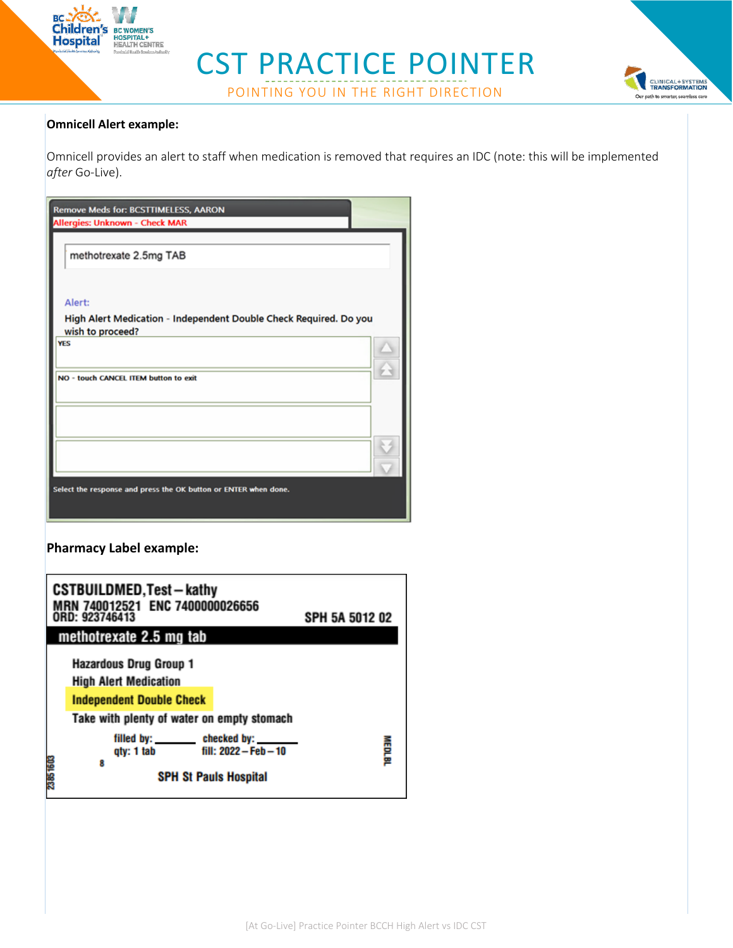

# CST PRACTICE POINTER POINTING YOU IN THE RIGHT DIRECTION



#### **Omnicell Alert example:**

Omnicell provides an alert to staff when medication is removed that requires an IDC (note: this will be implemented *after* Go-Live).

| <b>Remove Meds for: BCSTTIMELESS, AARON</b><br>Allergies: Unknown - Check MAR         |  |  |  |
|---------------------------------------------------------------------------------------|--|--|--|
| methotrexate 2.5mg TAB                                                                |  |  |  |
| Alert:                                                                                |  |  |  |
| High Alert Medication - Independent Double Check Required. Do you<br>wish to proceed? |  |  |  |
| <b>YES</b>                                                                            |  |  |  |
| NO - touch CANCEL ITEM button to exit                                                 |  |  |  |
|                                                                                       |  |  |  |
|                                                                                       |  |  |  |
| Select the response and press the OK button or ENTER when done.                       |  |  |  |

**Pharmacy Label example:**

|          | <b>CSTBUILDMED, Test - kathy</b><br>MRN 740012521 ENC 7400000026656<br>ORD: 923746413                                                          | SPH 5A 5012 02 |
|----------|------------------------------------------------------------------------------------------------------------------------------------------------|----------------|
|          | methotrexate 2.5 mg tab                                                                                                                        |                |
|          | <b>Hazardous Drug Group 1</b><br><b>High Alert Medication</b><br><b>Independent Double Check</b><br>Take with plenty of water on empty stomach |                |
| 23851603 | filled by: _______<br>checked by:<br>fill: 2022 - Feb - 10<br>qty: 1 tab<br>8<br><b>SPH St Pauls Hospital</b>                                  | MEDLBI         |